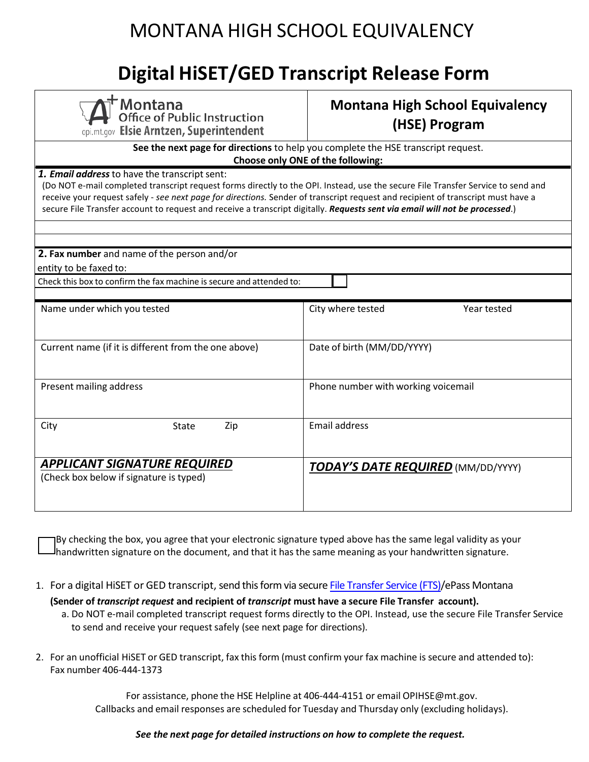## MONTANA HIGH SCHOOL EQUIVALENCY

## **Digital HiSET/GED Transcript Release Form**

| <b>Montana</b><br>Office of Public Instruction<br>opi.mt.gov Elsie Arntzen, Superintendent                                                                                                                                                                                                                                                                                                                                                           | <b>Montana High School Equivalency</b><br>(HSE) Program |  |
|------------------------------------------------------------------------------------------------------------------------------------------------------------------------------------------------------------------------------------------------------------------------------------------------------------------------------------------------------------------------------------------------------------------------------------------------------|---------------------------------------------------------|--|
| See the next page for directions to help you complete the HSE transcript request.<br>Choose only ONE of the following:                                                                                                                                                                                                                                                                                                                               |                                                         |  |
| 1. Email address to have the transcript sent:<br>(Do NOT e-mail completed transcript request forms directly to the OPI. Instead, use the secure File Transfer Service to send and<br>receive your request safely - see next page for directions. Sender of transcript request and recipient of transcript must have a<br>secure File Transfer account to request and receive a transcript digitally. Requests sent via email will not be processed.) |                                                         |  |
|                                                                                                                                                                                                                                                                                                                                                                                                                                                      |                                                         |  |
| 2. Fax number and name of the person and/or<br>entity to be faxed to:                                                                                                                                                                                                                                                                                                                                                                                |                                                         |  |
| Check this box to confirm the fax machine is secure and attended to:                                                                                                                                                                                                                                                                                                                                                                                 |                                                         |  |
| Name under which you tested                                                                                                                                                                                                                                                                                                                                                                                                                          | City where tested<br>Year tested                        |  |
|                                                                                                                                                                                                                                                                                                                                                                                                                                                      |                                                         |  |
| Current name (if it is different from the one above)                                                                                                                                                                                                                                                                                                                                                                                                 | Date of birth (MM/DD/YYYY)                              |  |
| Present mailing address                                                                                                                                                                                                                                                                                                                                                                                                                              | Phone number with working voicemail                     |  |
| City<br>Zip<br>State                                                                                                                                                                                                                                                                                                                                                                                                                                 | <b>Email address</b>                                    |  |
| <b>APPLICANT SIGNATURE REQUIRED</b><br>(Check box below if signature is typed)                                                                                                                                                                                                                                                                                                                                                                       | <b>TODAY'S DATE REQUIRED</b> (MM/DD/YYYY)               |  |

 By checking the box, you agree that your electronic signature typed above has the same legal validity as your handwritten signature on the document, and that it has the same meaning as your handwritten signature.

- 1. For a digital HiSET or GED transcript, send this form via secur[e File Transfer Service](https://transfer.mt.gov/Home/Login?EPassError=Unauthorized&ErrorCode=Unauthorized&ErrorMessage=You%20do%20not%20have%20access%20to%20the%20requested%20resource.&ReturnUrl=https%3a%2f%2ftransfer.mt.gov%2f) (FTS)/ePass Montana
	- **(Sender of** *transcript request* **and recipient of** *transcript* **must have a secure File Transfer account).** a. Do NOT e-mail completed transcript request forms directly to the OPI. Instead, use the secure File Transfer Service to send and receive your request safely (see next page for directions).
- 2. For an unofficial HiSET or GED transcript, fax this form (must confirm your fax machine is secure and attended to): Fax number 406-444-1373

For assistance, phone the HSE Helpline at 406-444-4151 or email OPIHSE[@mt.gov.](mailto:OPIHSE@mt.gov) Callbacks and email responses are scheduled for Tuesday and Thursday only (excluding holidays).

#### *See the next page for detailed instructions on how to complete the request.*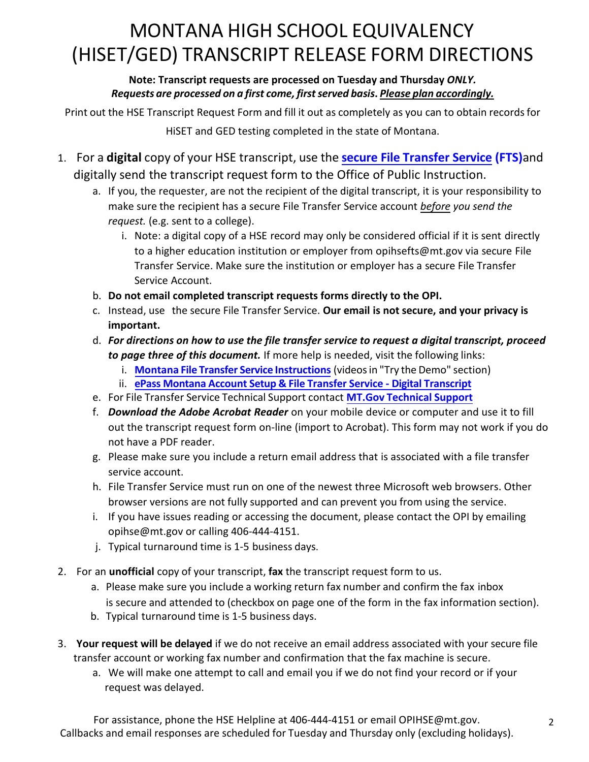# (HISET/GED) TRANSCRIPT RELEASE FORM DIRECTIONS

### *Requests are processed on a first come, first served basis***.** *Please plan accordingly.*  **Note: Transcript requests are processed on Tuesday and Thursday** *ONLY.*

Print out the HSE Transcript Request Form and fill it out as completely as you can to obtain records for

HiSET and GED testing completed in the state of Montana.

- 1. For a **digital** copy of your HSE transcript, use the **[secure File Transfer Service](https://transfer.mt.gov/Home/Login?EPassError=Unauthorized&ErrorCode=Unauthorized&ErrorMessage=You%20do%20not%20have%20access%20to%20the%20requested%20resource.&ReturnUrl=https%3a%2f%2ftransfer.mt.gov%2f) (FTS)**and digitally send the transcript request form to the Office of Public Instruction.
	- a. If you, the requester, are not the recipient of the digital transcript, it is your responsibility to make sure the recipient has a secure File Transfer Service account *before you send the request.* (e.g. sent to a college).
- MONTANA HIGH SCHOOL EQUIVALENCY<br>
/GED) TRANSCRIPT RELEASE FORM DIREC<br>
Note: Transcript requests are processed on Tuesday and Thursday ONLY.<br>
uests are processed on a first come, first served basis. <u>Please plan accordine</u><br> i. Note: a digital copy of a HSE record may only be considered official if it is sent directly to a higher education institution or employer from opihsefts@mt.gov via secure File Transfer Service. Make sure the institution or employer has a secure File Transfer Service Account.
	- b. **Do not email completed transcript requests forms directly to the OPI.**
	- c. Instead, use the secure File Transfer Service. **Our email is not secure, and your privacy is important.**
	- d. *For directions on how to use the file transfer service to request a digital transcript, proceed to page three of this document.* If more help is needed, visit the following links:
		- i. **[Montana File Transfer Service Instructions](https://transfer.mt.gov/Home/Instructions)** (videos in "Try the Demo" section)
		- ii. **[ePass Montana Account Setup & File Transfer Service -](https://opi.mt.gov/LinkClick.aspx?fileticket=tVyNxFJPB5g%3d&portalid=182) Digital Transcript**
	- e. For File Transfer Service Technical Support contact **[MT.Gov Technical Support](https://sitsd.mt.gov/About-Us/Contact-Us)**
	- f. *Download the Adobe Acrobat Reader* on your mobile device or computer and use it to fill out the transcript request form on-line (import to Acrobat). This form may not work if you do not have a PDF reader.
	- g. Please make sure you include a return email address that is associated with a file transfer service account.
	- h. File Transfer Service must run on one of the newest three Microsoft web browsers. Other browser versions are not fully supported and can prevent you from using the service.
	- i. If you have issues reading or accessing the document, please contact the OPI by emailing [opihse@mt.gov](mailto:opihse@mt.gov) or calling 406-444-4151.
	- j. Typical turnaround time is 1-5 business days.
- 2. For an **unofficial** copy of your transcript, **fax** the transcript request form to us.
	- a. Please make sure you include a working return fax number and confirm the fax inbox is secure and attended to (checkbox on page one of the form in the fax information section).
	- b. Typical turnaround time is 1-5 business days.
- transfer account or working fax number and confirmation that the fax machine is secure. 3. **Your request will be delayed** if we do not receive an email address associated with your secure file
	- a. We will make one attempt to call and email you if we do not find your record or if your request was delayed.

For assistance, phone the HSE Helpline at 406-444-4151 or email OPIHSE[@mt.gov](mailto:OPIHSE@mt.gov). Callbacks and email responses are scheduled for Tuesday and Thursday only (excluding holidays).